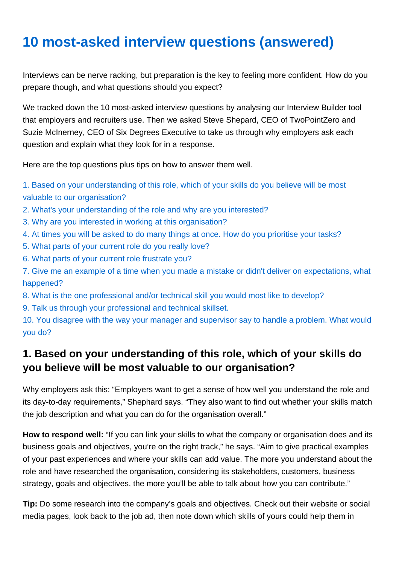# 10 most-asked interview questions (answered)

Interviews can be nerve racking, but preparation is the key to feeling more confident. How do you prepare though, and what questions should you expect?

We tracked down the 10 most-asked interview questions by analysing our Interview Builder tool that employers and recruiters use. Then we asked Steve Shepard, CEO of TwoPointZero and Suzie McInerney, CEO of Six Degrees Executive to take us through why employers ask each question and explain what they look for in a response.

Here are the top questions plus tips on how to answer them well.

1. Based on your understanding of this role, which of your skills do you believe will be most valuable to our organisation?

- 2. What's your understanding of the role and why are you interested?
- 3. Why are you interested in working at this organisation?
- 4. At times you will be asked to do many things at once. How do you prioritise your tasks?
- 5. What parts of your current role do you really love?
- 6. What parts of your current role frustrate you?

7. Give me an example of a time when you made a mistake or didn't deliver on expectations, what happened?

- 8. What is the one professional and/or technical skill you would most like to develop?
- 9. Talk us through your professional and technical skillset.

10. You disagree with the way your manager and supervisor say to handle a problem. What would you do?

#### 1. Based on your understanding of this role, which of your skills do you believe will be most valuable to our organisation?

Why employers ask this: "Employers want to get a sense of how well you understand the role and its day-to-day requirements," Shephard says. "They also want to find out whether your skills match the job description and what you can do for the organisation overall."

How to respond well: "If you can link your skills to what the company or organisation does and its business goals and objectives, you're on the right track," he says. "Aim to give practical examples of your past experiences and where your skills can add value. The more you understand about the role and have researched the organisation, considering its stakeholders, customers, business strategy, goals and objectives, the more you'll be able to talk about how you can contribute."

Tip: Do some research into the company's goals and objectives. Check out their website or social media pages, look back to the job ad, then note down which skills of yours could help them in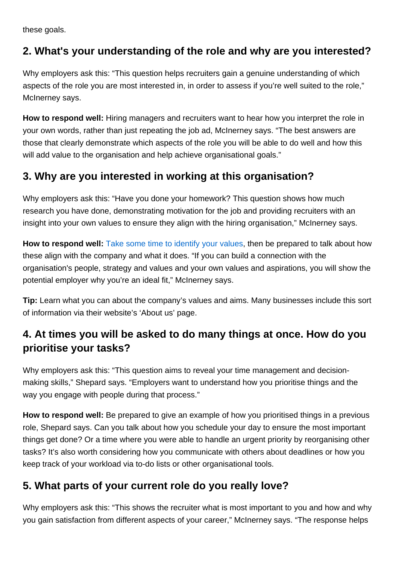these goals.

# 2. What's your understanding of the role and why are you interested?

Why employers ask this: "This question helps recruiters gain a genuine understanding of which aspects of the role you are most interested in, in order to assess if you're well suited to the role," McInerney says.

How to respond well: Hiring managers and recruiters want to hear how you interpret the role in your own words, rather than just repeating the job ad, McInerney says. "The best answers are those that clearly demonstrate which aspects of the role you will be able to do well and how this will add value to the organisation and help achieve organisational goals."

# 3. Why are you interested in working at this organisation?

Why employers ask this: "Have you done your homework? This question shows how much research you have done, demonstrating motivation for the job and providing recruiters with an insight into your own values to ensure they align with the hiring organisation," McInerney says.

How to respond well: [Take some time to identify your values,](https://www.seek.co.nz/career-advice/article/how-knowing-your-values-can-positively-impact-your-career) then be prepared to talk about how these align with the company and what it does. "If you can build a connection with the organisation's people, strategy and values and your own values and aspirations, you will show the potential employer why you're an ideal fit," McInerney says.

Tip: Learn what you can about the company's values and aims. Many businesses include this sort of information via their website's 'About us' page.

# 4. At times you will be asked to do many things at once. How do you prioritise your tasks?

Why employers ask this: "This question aims to reveal your time management and decisionmaking skills," Shepard says. "Employers want to understand how you prioritise things and the way you engage with people during that process."

How to respond well: Be prepared to give an example of how you prioritised things in a previous role, Shepard says. Can you talk about how you schedule your day to ensure the most important things get done? Or a time where you were able to handle an urgent priority by reorganising other tasks? It's also worth considering how you communicate with others about deadlines or how you keep track of your workload via to-do lists or other organisational tools.

# 5. What parts of your current role do you really love?

Why employers ask this: "This shows the recruiter what is most important to you and how and why you gain satisfaction from different aspects of your career," McInerney says. "The response helps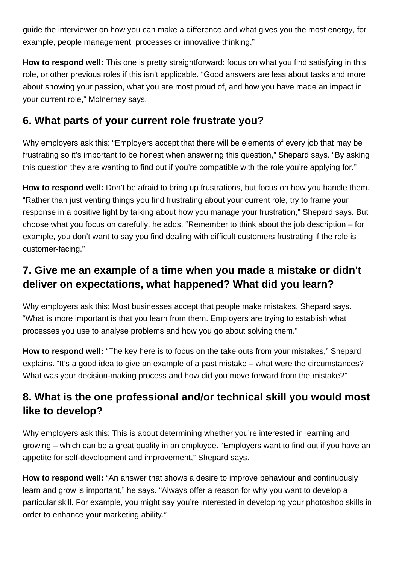guide the interviewer on how you can make a difference and what gives you the most energy, for example, people management, processes or innovative thinking."

**How to respond well:** This one is pretty straightforward: focus on what you find satisfying in this role, or other previous roles if this isn't applicable. "Good answers are less about tasks and more about showing your passion, what you are most proud of, and how you have made an impact in your current role," McInerney says.

# **6. What parts of your current role frustrate you?**

Why employers ask this: "Employers accept that there will be elements of every job that may be frustrating so it's important to be honest when answering this question," Shepard says. "By asking this question they are wanting to find out if you're compatible with the role you're applying for."

**How to respond well:** Don't be afraid to bring up frustrations, but focus on how you handle them. "Rather than just venting things you find frustrating about your current role, try to frame your response in a positive light by talking about how you manage your frustration," Shepard says. But choose what you focus on carefully, he adds. "Remember to think about the job description – for example, you don't want to say you find dealing with difficult customers frustrating if the role is customer-facing."

# **7. Give me an example of a time when you made a mistake or didn't deliver on expectations, what happened? What did you learn?**

Why employers ask this: Most businesses accept that people make mistakes, Shepard says. "What is more important is that you learn from them. Employers are trying to establish what processes you use to analyse problems and how you go about solving them."

**How to respond well:** "The key here is to focus on the take outs from your mistakes," Shepard explains. "It's a good idea to give an example of a past mistake – what were the circumstances? What was your decision-making process and how did you move forward from the mistake?"

# **8. What is the one professional and/or technical skill you would most like to develop?**

Why employers ask this: This is about determining whether you're interested in learning and growing – which can be a great quality in an employee. "Employers want to find out if you have an appetite for self-development and improvement," Shepard says.

**How to respond well:** "An answer that shows a desire to improve behaviour and continuously learn and grow is important," he says. "Always offer a reason for why you want to develop a particular skill. For example, you might say you're interested in developing your photoshop skills in order to enhance your marketing ability."